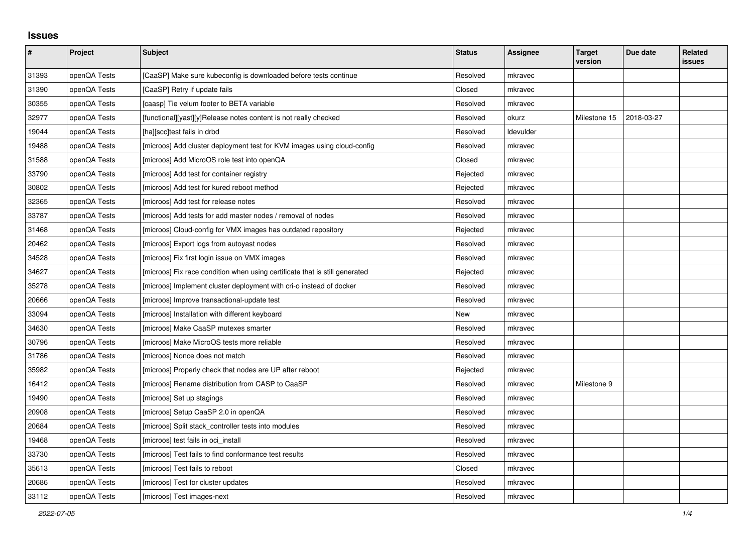## **Issues**

| $\pmb{\#}$ | Project      | Subject                                                                     | <b>Status</b> | <b>Assignee</b>  | <b>Target</b><br>version | Due date   | Related<br>issues |
|------------|--------------|-----------------------------------------------------------------------------|---------------|------------------|--------------------------|------------|-------------------|
| 31393      | openQA Tests | [CaaSP] Make sure kubeconfig is downloaded before tests continue            | Resolved      | mkravec          |                          |            |                   |
| 31390      | openQA Tests | [CaaSP] Retry if update fails                                               | Closed        | mkravec          |                          |            |                   |
| 30355      | openQA Tests | [caasp] Tie velum footer to BETA variable                                   | Resolved      | mkravec          |                          |            |                   |
| 32977      | openQA Tests | [functional][yast][y]Release notes content is not really checked            | Resolved      | okurz            | Milestone 15             | 2018-03-27 |                   |
| 19044      | openQA Tests | [ha][scc]test fails in drbd                                                 | Resolved      | <b>Idevulder</b> |                          |            |                   |
| 19488      | openQA Tests | [microos] Add cluster deployment test for KVM images using cloud-config     | Resolved      | mkravec          |                          |            |                   |
| 31588      | openQA Tests | [microos] Add MicroOS role test into openQA                                 | Closed        | mkravec          |                          |            |                   |
| 33790      | openQA Tests | [microos] Add test for container registry                                   | Rejected      | mkravec          |                          |            |                   |
| 30802      | openQA Tests | [microos] Add test for kured reboot method                                  | Rejected      | mkravec          |                          |            |                   |
| 32365      | openQA Tests | [microos] Add test for release notes                                        | Resolved      | mkravec          |                          |            |                   |
| 33787      | openQA Tests | [microos] Add tests for add master nodes / removal of nodes                 | Resolved      | mkravec          |                          |            |                   |
| 31468      | openQA Tests | [microos] Cloud-config for VMX images has outdated repository               | Rejected      | mkravec          |                          |            |                   |
| 20462      | openQA Tests | [microos] Export logs from autoyast nodes                                   | Resolved      | mkravec          |                          |            |                   |
| 34528      | openQA Tests | [microos] Fix first login issue on VMX images                               | Resolved      | mkravec          |                          |            |                   |
| 34627      | openQA Tests | [microos] Fix race condition when using certificate that is still generated | Rejected      | mkravec          |                          |            |                   |
| 35278      | openQA Tests | [microos] Implement cluster deployment with cri-o instead of docker         | Resolved      | mkravec          |                          |            |                   |
| 20666      | openQA Tests | [microos] Improve transactional-update test                                 | Resolved      | mkravec          |                          |            |                   |
| 33094      | openQA Tests | [microos] Installation with different keyboard                              | New           | mkravec          |                          |            |                   |
| 34630      | openQA Tests | [microos] Make CaaSP mutexes smarter                                        | Resolved      | mkravec          |                          |            |                   |
| 30796      | openQA Tests | [microos] Make MicroOS tests more reliable                                  | Resolved      | mkravec          |                          |            |                   |
| 31786      | openQA Tests | [microos] Nonce does not match                                              | Resolved      | mkravec          |                          |            |                   |
| 35982      | openQA Tests | [microos] Properly check that nodes are UP after reboot                     | Rejected      | mkravec          |                          |            |                   |
| 16412      | openQA Tests | [microos] Rename distribution from CASP to CaaSP                            | Resolved      | mkravec          | Milestone 9              |            |                   |
| 19490      | openQA Tests | [microos] Set up stagings                                                   | Resolved      | mkravec          |                          |            |                   |
| 20908      | openQA Tests | [microos] Setup CaaSP 2.0 in openQA                                         | Resolved      | mkravec          |                          |            |                   |
| 20684      | openQA Tests | [microos] Split stack_controller tests into modules                         | Resolved      | mkravec          |                          |            |                   |
| 19468      | openQA Tests | [microos] test fails in oci_install                                         | Resolved      | mkravec          |                          |            |                   |
| 33730      | openQA Tests | [microos] Test fails to find conformance test results                       | Resolved      | mkravec          |                          |            |                   |
| 35613      | openQA Tests | [microos] Test fails to reboot                                              | Closed        | mkravec          |                          |            |                   |
| 20686      | openQA Tests | [microos] Test for cluster updates                                          | Resolved      | mkravec          |                          |            |                   |
| 33112      | openQA Tests | [microos] Test images-next                                                  | Resolved      | mkravec          |                          |            |                   |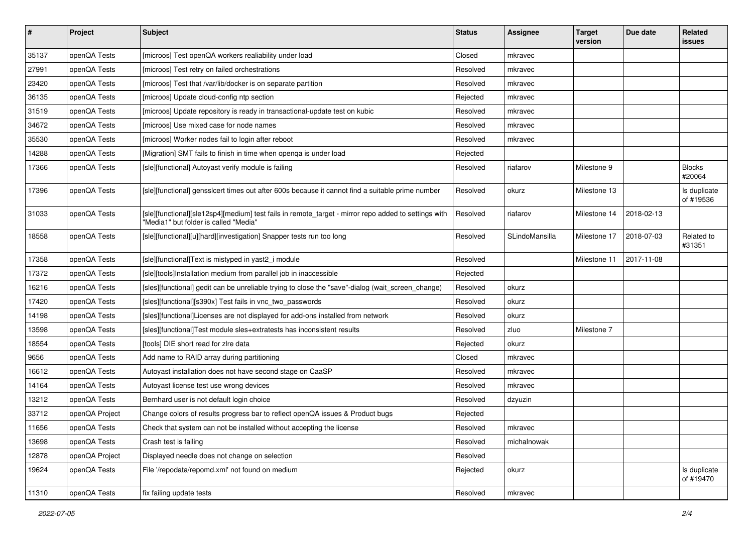| $\pmb{\#}$ | Project        | <b>Subject</b>                                                                                                                                | <b>Status</b> | <b>Assignee</b> | <b>Target</b><br>version | Due date   | Related<br>issues         |
|------------|----------------|-----------------------------------------------------------------------------------------------------------------------------------------------|---------------|-----------------|--------------------------|------------|---------------------------|
| 35137      | openQA Tests   | [microos] Test openQA workers realiability under load                                                                                         | Closed        | mkravec         |                          |            |                           |
| 27991      | openQA Tests   | [microos] Test retry on failed orchestrations                                                                                                 | Resolved      | mkravec         |                          |            |                           |
| 23420      | openQA Tests   | [microos] Test that /var/lib/docker is on separate partition                                                                                  | Resolved      | mkravec         |                          |            |                           |
| 36135      | openQA Tests   | [microos] Update cloud-config ntp section                                                                                                     | Rejected      | mkravec         |                          |            |                           |
| 31519      | openQA Tests   | [microos] Update repository is ready in transactional-update test on kubic                                                                    | Resolved      | mkravec         |                          |            |                           |
| 34672      | openQA Tests   | [microos] Use mixed case for node names                                                                                                       | Resolved      | mkravec         |                          |            |                           |
| 35530      | openQA Tests   | [microos] Worker nodes fail to login after reboot                                                                                             | Resolved      | mkravec         |                          |            |                           |
| 14288      | openQA Tests   | [Migration] SMT fails to finish in time when openqa is under load                                                                             | Rejected      |                 |                          |            |                           |
| 17366      | openQA Tests   | [sle][functional] Autoyast verify module is failing                                                                                           | Resolved      | riafarov        | Milestone 9              |            | <b>Blocks</b><br>#20064   |
| 17396      | openQA Tests   | [sle][functional] gensslcert times out after 600s because it cannot find a suitable prime number                                              | Resolved      | okurz           | Milestone 13             |            | Is duplicate<br>of #19536 |
| 31033      | openQA Tests   | [sle][functional][sle12sp4][medium] test fails in remote_target - mirror repo added to settings with<br>'Media1" but folder is called "Media" | Resolved      | riafarov        | Milestone 14             | 2018-02-13 |                           |
| 18558      | openQA Tests   | [sle][functional][u][hard][investigation] Snapper tests run too long                                                                          | Resolved      | SLindoMansilla  | Milestone 17             | 2018-07-03 | Related to<br>#31351      |
| 17358      | openQA Tests   | [sle][functional]Text is mistyped in yast2_i module                                                                                           | Resolved      |                 | Milestone 11             | 2017-11-08 |                           |
| 17372      | openQA Tests   | [sle][tools]Installation medium from parallel job in inaccessible                                                                             | Rejected      |                 |                          |            |                           |
| 16216      | openQA Tests   | [sles][functional] gedit can be unreliable trying to close the "save"-dialog (wait_screen_change)                                             | Resolved      | okurz           |                          |            |                           |
| 17420      | openQA Tests   | [sles][functional][s390x] Test fails in vnc_two_passwords                                                                                     | Resolved      | okurz           |                          |            |                           |
| 14198      | openQA Tests   | [sles][functional]Licenses are not displayed for add-ons installed from network                                                               | Resolved      | okurz           |                          |            |                           |
| 13598      | openQA Tests   | [sles][functional]Test module sles+extratests has inconsistent results                                                                        | Resolved      | zluo            | Milestone 7              |            |                           |
| 18554      | openQA Tests   | [tools] DIE short read for zire data                                                                                                          | Rejected      | okurz           |                          |            |                           |
| 9656       | openQA Tests   | Add name to RAID array during partitioning                                                                                                    | Closed        | mkravec         |                          |            |                           |
| 16612      | openQA Tests   | Autoyast installation does not have second stage on CaaSP                                                                                     | Resolved      | mkravec         |                          |            |                           |
| 14164      | openQA Tests   | Autoyast license test use wrong devices                                                                                                       | Resolved      | mkravec         |                          |            |                           |
| 13212      | openQA Tests   | Bernhard user is not default login choice                                                                                                     | Resolved      | dzyuzin         |                          |            |                           |
| 33712      | openQA Project | Change colors of results progress bar to reflect openQA issues & Product bugs                                                                 | Rejected      |                 |                          |            |                           |
| 11656      | openQA Tests   | Check that system can not be installed without accepting the license                                                                          | Resolved      | mkravec         |                          |            |                           |
| 13698      | openQA Tests   | Crash test is failing                                                                                                                         | Resolved      | michalnowak     |                          |            |                           |
| 12878      | openQA Project | Displayed needle does not change on selection                                                                                                 | Resolved      |                 |                          |            |                           |
| 19624      | openQA Tests   | File '/repodata/repomd.xml' not found on medium                                                                                               | Rejected      | okurz           |                          |            | Is duplicate<br>of #19470 |
| 11310      | openQA Tests   | fix failing update tests                                                                                                                      | Resolved      | mkravec         |                          |            |                           |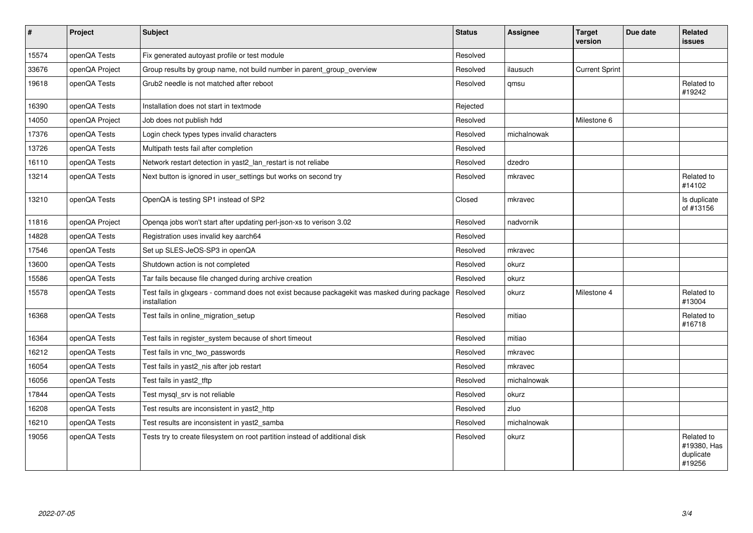| $\sharp$ | Project        | Subject                                                                                                      | <b>Status</b> | Assignee    | <b>Target</b><br>version | Due date | <b>Related</b><br>issues                         |
|----------|----------------|--------------------------------------------------------------------------------------------------------------|---------------|-------------|--------------------------|----------|--------------------------------------------------|
| 15574    | openQA Tests   | Fix generated autoyast profile or test module                                                                | Resolved      |             |                          |          |                                                  |
| 33676    | openQA Project | Group results by group name, not build number in parent_group_overview                                       | Resolved      | ilausuch    | <b>Current Sprint</b>    |          |                                                  |
| 19618    | openQA Tests   | Grub <sub>2</sub> needle is not matched after reboot                                                         | Resolved      | qmsu        |                          |          | Related to<br>#19242                             |
| 16390    | openQA Tests   | Installation does not start in textmode                                                                      | Rejected      |             |                          |          |                                                  |
| 14050    | openQA Project | Job does not publish hdd                                                                                     | Resolved      |             | Milestone 6              |          |                                                  |
| 17376    | openQA Tests   | Login check types types invalid characters                                                                   | Resolved      | michalnowak |                          |          |                                                  |
| 13726    | openQA Tests   | Multipath tests fail after completion                                                                        | Resolved      |             |                          |          |                                                  |
| 16110    | openQA Tests   | Network restart detection in yast2_lan_restart is not reliabe                                                | Resolved      | dzedro      |                          |          |                                                  |
| 13214    | openQA Tests   | Next button is ignored in user_settings but works on second try                                              | Resolved      | mkravec     |                          |          | Related to<br>#14102                             |
| 13210    | openQA Tests   | OpenQA is testing SP1 instead of SP2                                                                         | Closed        | mkravec     |                          |          | Is duplicate<br>of #13156                        |
| 11816    | openQA Project | Openqa jobs won't start after updating perl-json-xs to verison 3.02                                          | Resolved      | nadvornik   |                          |          |                                                  |
| 14828    | openQA Tests   | Registration uses invalid key aarch64                                                                        | Resolved      |             |                          |          |                                                  |
| 17546    | openQA Tests   | Set up SLES-JeOS-SP3 in openQA                                                                               | Resolved      | mkravec     |                          |          |                                                  |
| 13600    | openQA Tests   | Shutdown action is not completed                                                                             | Resolved      | okurz       |                          |          |                                                  |
| 15586    | openQA Tests   | Tar fails because file changed during archive creation                                                       | Resolved      | okurz       |                          |          |                                                  |
| 15578    | openQA Tests   | Test fails in glxgears - command does not exist because packagekit was masked during package<br>installation | Resolved      | okurz       | Milestone 4              |          | Related to<br>#13004                             |
| 16368    | openQA Tests   | Test fails in online migration setup                                                                         | Resolved      | mitiao      |                          |          | Related to<br>#16718                             |
| 16364    | openQA Tests   | Test fails in register system because of short timeout                                                       | Resolved      | mitiao      |                          |          |                                                  |
| 16212    | openQA Tests   | Test fails in vnc_two_passwords                                                                              | Resolved      | mkravec     |                          |          |                                                  |
| 16054    | openQA Tests   | Test fails in yast2_nis after job restart                                                                    | Resolved      | mkravec     |                          |          |                                                  |
| 16056    | openQA Tests   | Test fails in yast2 tftp                                                                                     | Resolved      | michalnowak |                          |          |                                                  |
| 17844    | openQA Tests   | Test mysql_srv is not reliable                                                                               | Resolved      | okurz       |                          |          |                                                  |
| 16208    | openQA Tests   | Test results are inconsistent in yast2 http                                                                  | Resolved      | zluo        |                          |          |                                                  |
| 16210    | openQA Tests   | Test results are inconsistent in yast2_samba                                                                 | Resolved      | michalnowak |                          |          |                                                  |
| 19056    | openQA Tests   | Tests try to create filesystem on root partition instead of additional disk                                  | Resolved      | okurz       |                          |          | Related to<br>#19380, Has<br>duplicate<br>#19256 |